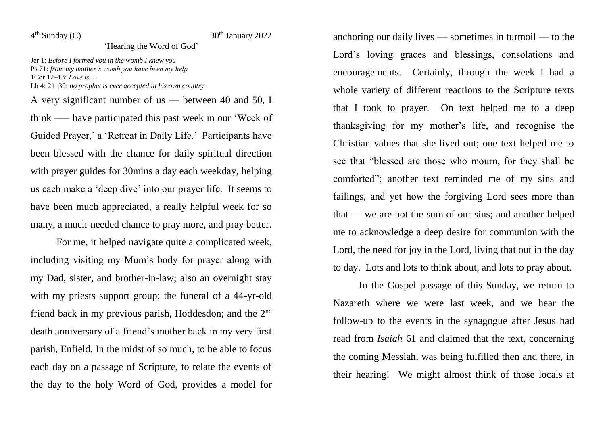$4<sup>th</sup>$  Sunday (C)

## $30<sup>th</sup>$  January 2022

## 'Hearing the Word of God'

Jer 1: *Before I formed you in the womb I knew you* Ps 71: *from my mother's womb you have been my help* 1Cor 12–13: *Love is …* Lk 4: 21–30: *no prophet is ever accepted in his own country*

A very significant number of us — between 40 and 50, I think –— have participated this past week in our 'Week of Guided Prayer,' a 'Retreat in Daily Life.' Participants have been blessed with the chance for daily spiritual direction with prayer guides for 30mins a day each weekday, helping us each make a 'deep dive' into our prayer life. It seems to have been much appreciated, a really helpful week for so many, a much-needed chance to pray more, and pray better.

For me, it helped navigate quite a complicated week, including visiting my Mum's body for prayer along with my Dad, sister, and brother-in-law; also an overnight stay with my priests support group; the funeral of a 44-yr-old friend back in my previous parish, Hoddesdon; and the 2nd death anniversary of a friend's mother back in my very first parish, Enfield. In the midst of so much, to be able to focus each day on a passage of Scripture, to relate the events of the day to the holy Word of God, provides a model for

anchoring our daily lives — sometimes in turmoil — to the Lord's loving graces and blessings, consolations and encouragements. Certainly, through the week I had a whole variety of different reactions to the Scripture texts that I took to prayer. On text helped me to a deep thanksgiving for my mother's life, and recognise the Christian values that she lived out; one text helped me to see that "blessed are those who mourn, for they shall be comforted"; another text reminded me of my sins and failings, and yet how the forgiving Lord sees more than that — we are not the sum of our sins; and another helped me to acknowledge a deep desire for communion with the Lord, the need for joy in the Lord, living that out in the day to day. Lots and lots to think about, and lots to pray about.

In the Gospel passage of this Sunday, we return to Nazareth where we were last week, and we hear the follow-up to the events in the synagogue after Jesus had read from *Isaiah* 61 and claimed that the text, concerning the coming Messiah, was being fulfilled then and there, in their hearing! We might almost think of those locals at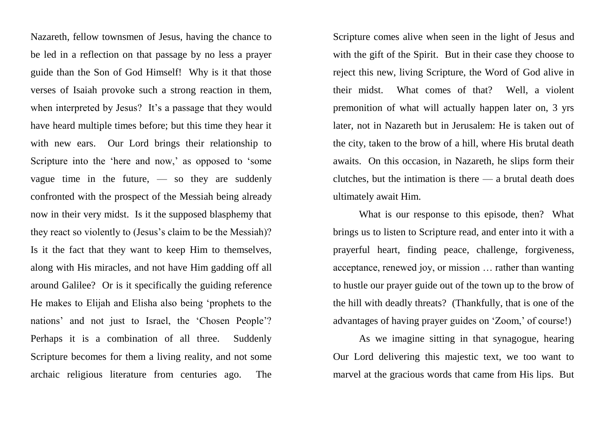Nazareth, fellow townsmen of Jesus, having the chance to be led in a reflection on that passage by no less a prayer guide than the Son of God Himself! Why is it that those verses of Isaiah provoke such a strong reaction in them, when interpreted by Jesus? It's a passage that they would have heard multiple times before; but this time they hear it with new ears. Our Lord brings their relationship to Scripture into the 'here and now,' as opposed to 'some vague time in the future, — so they are suddenly confronted with the prospect of the Messiah being already now in their very midst. Is it the supposed blasphemy that they react so violently to (Jesus's claim to be the Messiah)? Is it the fact that they want to keep Him to themselves, along with His miracles, and not have Him gadding off all around Galilee? Or is it specifically the guiding reference He makes to Elijah and Elisha also being 'prophets to the nations' and not just to Israel, the 'Chosen People'? Perhaps it is a combination of all three. Suddenly Scripture becomes for them a living reality, and not some archaic religious literature from centuries ago. The

Scripture comes alive when seen in the light of Jesus and with the gift of the Spirit. But in their case they choose to reject this new, living Scripture, the Word of God alive in their midst. What comes of that? Well, a violent premonition of what will actually happen later on, 3 yrs later, not in Nazareth but in Jerusalem: He is taken out of the city, taken to the brow of a hill, where His brutal death awaits. On this occasion, in Nazareth, he slips form their clutches, but the intimation is there — a brutal death does ultimately await Him.

What is our response to this episode, then? What brings us to listen to Scripture read, and enter into it with a prayerful heart, finding peace, challenge, forgiveness, acceptance, renewed joy, or mission … rather than wanting to hustle our prayer guide out of the town up to the brow of the hill with deadly threats? (Thankfully, that is one of the advantages of having prayer guides on 'Zoom,' of course!)

As we imagine sitting in that synagogue, hearing Our Lord delivering this majestic text, we too want to marvel at the gracious words that came from His lips. But